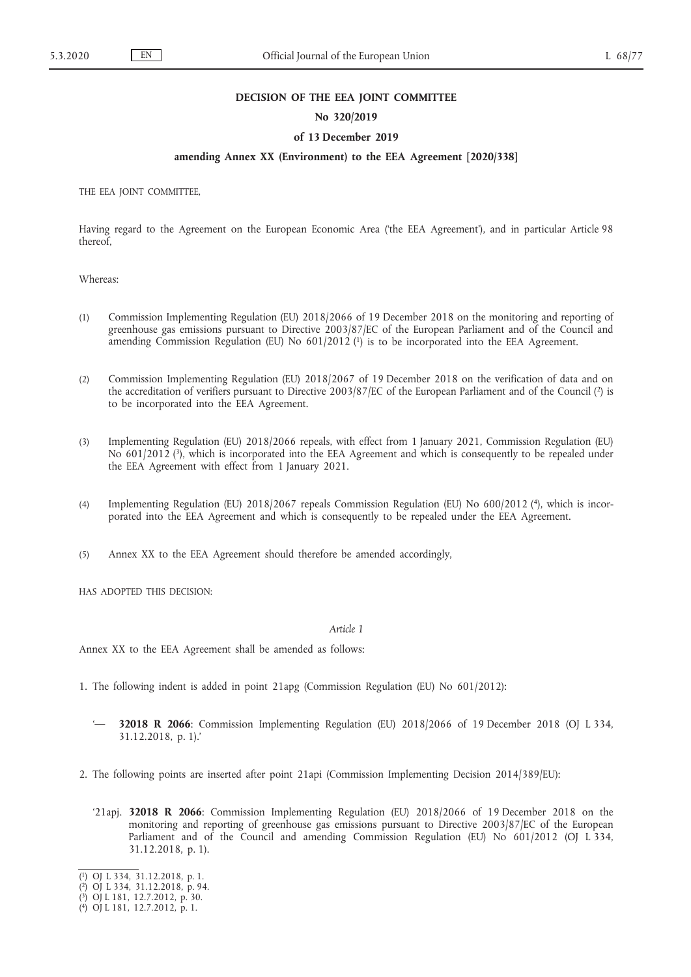## **DECISION OF THE EEA JOINT COMMITTEE**

## **No 320/2019**

## **of 13 December 2019**

## **amending Annex XX (Environment) to the EEA Agreement [2020/338]**

THE EEA JOINT COMMITTEE,

Having regard to the Agreement on the European Economic Area ('the EEA Agreement'), and in particular Article 98 thereof,

Whereas:

- (1) Commission Implementing Regulation (EU) 2018/2066 of 19 December 2018 on the monitoring and reporting of greenhouse gas emissions pursuant to Directive 2003/87/EC of the European Parliament and of the Council and amending Commission Regulation (EU) No 601/2012 (<sup>1</sup>) is to be incorporated into the EEA Agreement.
- (2) Commission Implementing Regulation (EU) 2018/2067 of 19 December 2018 on the verification of data and on the accreditation of verifiers pursuant to Directive 2003/87/EC of the European Parliament and of the Council (2) is to be incorporated into the EEA Agreement.
- (3) Implementing Regulation (EU) 2018/2066 repeals, with effect from 1 January 2021, Commission Regulation (EU) No 601/2012 (3), which is incorporated into the EEA Agreement and which is consequently to be repealed under the EEA Agreement with effect from 1 January 2021.
- (4) Implementing Regulation (EU) 2018/2067 repeals Commission Regulation (EU) No 600/2012 (4), which is incorporated into the EEA Agreement and which is consequently to be repealed under the EEA Agreement.
- (5) Annex XX to the EEA Agreement should therefore be amended accordingly,

HAS ADOPTED THIS DECISION:

# *Article 1*

Annex XX to the EEA Agreement shall be amended as follows:

- 1. The following indent is added in point 21apg (Commission Regulation (EU) No 601/2012):
	- '— **32018 R 2066**: Commission Implementing Regulation (EU) 2018/2066 of 19 December 2018 (OJ L 334, 31.12.2018, p. 1).'
- 2. The following points are inserted after point 21api (Commission Implementing Decision 2014/389/EU):
	- '21apj. **32018 R 2066**: Commission Implementing Regulation (EU) 2018/2066 of 19 December 2018 on the monitoring and reporting of greenhouse gas emissions pursuant to Directive 2003/87/EC of the European Parliament and of the Council and amending Commission Regulation (EU) No 601/2012 (OJ L 334, 31.12.2018, p. 1).
- ( 1) OJ L 334, 31.12.2018, p. 1.

<sup>(</sup> 2) OJ L 334, 31.12.2018, p. 94.

<sup>(</sup> 3) OJ L 181, 12.7.2012, p. 30.

<sup>(</sup> 4) OJ L 181, 12.7.2012, p. 1.